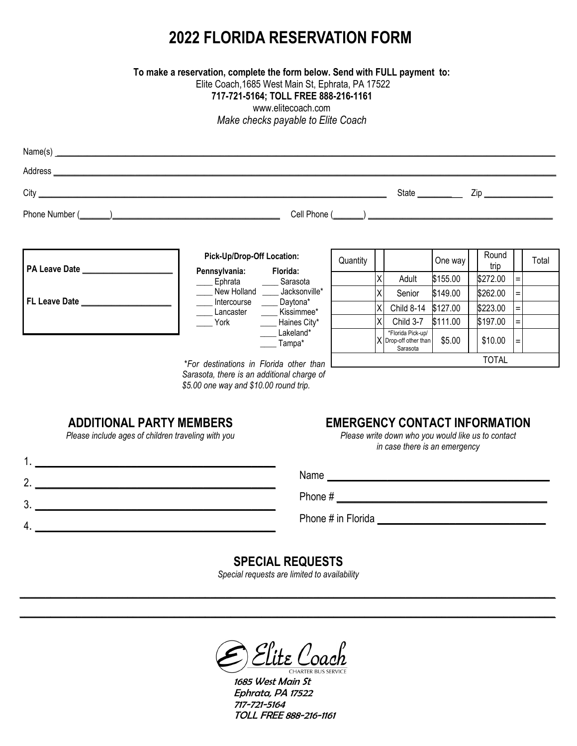# **2022 FLORIDA RESERVATION FORM**

**To make a reservation, complete the form below. Send with FULL payment to:**

Elite Coach,1685 West Main St, Ephrata, PA 17522

#### **717-721-5164; TOLL FREE 888-216-1161**

www.elitecoach.com

*Make checks payable to Elite Coach*

| Phone Number (All Allen Contract Contract Contract Contract Contract Contract Contract Contract Contract Contract Contract Contract Contract Contract Contract Contract Contract Contract Contract Contract Contract Contract |                                                                    |                     |          |    |                                                        |          |               |                   |       |
|-------------------------------------------------------------------------------------------------------------------------------------------------------------------------------------------------------------------------------|--------------------------------------------------------------------|---------------------|----------|----|--------------------------------------------------------|----------|---------------|-------------------|-------|
|                                                                                                                                                                                                                               |                                                                    |                     |          |    |                                                        |          |               |                   |       |
| <b>PA Leave Date</b>                                                                                                                                                                                                          | Pick-Up/Drop-Off Location:<br>Pennsylvania: Florida:               |                     | Quantity |    |                                                        | One way  | Round<br>trip |                   | Total |
|                                                                                                                                                                                                                               | _____ Ephrata _______ Sarasota                                     |                     |          | x  | Adult                                                  | \$155.00 | \$272.00      | $\equiv$          |       |
|                                                                                                                                                                                                                               | ____ New Holland ____ Jacksonville*                                |                     |          | χI | Senior                                                 | \$149.00 | \$262.00      | $=$               |       |
| FL Leave Date <b>Example 20</b>                                                                                                                                                                                               | ____ Intercourse _____ Daytona*<br>____ Lancaster _____ Kissimmee* |                     |          | χl | <b>Child 8-14</b>                                      | \$127.00 | \$223.00      | $=$               |       |
|                                                                                                                                                                                                                               | York                                                               | _____ Haines City*  |          | χI | Child 3-7                                              | \$111.00 | \$197.00      | $\equiv$          |       |
|                                                                                                                                                                                                                               |                                                                    | Lakeland*<br>Tampa* |          |    | *Florida Pick-up/<br>X Drop-off other than<br>Sarasota | \$5.00   | \$10.00       | $\qquad \qquad =$ |       |
|                                                                                                                                                                                                                               | *For destinations in Florida other than                            |                     |          |    |                                                        |          | <b>TOTAL</b>  |                   |       |
|                                                                                                                                                                                                                               |                                                                    |                     |          |    |                                                        |          |               |                   |       |

*Sarasota, there is an additional charge of \$5.00 one way and \$10.00 round trip.*

# **ADDITIONAL PARTY MEMBERS**

*Please include ages of children traveling with you*

# **EMERGENCY CONTACT INFORMATION**

*Please write down who you would like us to contact in case there is an emergency*

| . . |                    |
|-----|--------------------|
|     | Name               |
| 2.  |                    |
| 3.  | Phone #            |
|     | Phone # in Florida |
| т.  |                    |

### **SPECIAL REQUESTS**

*Special requests are limited to availability*  $\_$  , and the set of the set of the set of the set of the set of the set of the set of the set of the set of the set of the set of the set of the set of the set of the set of the set of the set of the set of the set of th

 $\_$  , and the set of the set of the set of the set of the set of the set of the set of the set of the set of the set of the set of the set of the set of the set of the set of the set of the set of the set of the set of th

lite Coach

1685 West Main St Ephrata, PA 17522 717-721-5164 TOLL FREE 888-216-1161